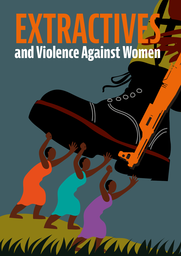# **EXTRACTIVES and Violence Against Wome**

11 AV 11 AV 11 AV 11 AV 11

000C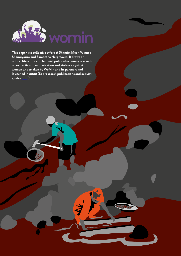

*environmental degradation and a reign of terror*  **This paper is a collective effort of Shamim Meer, Winnet by the police and Samantha Hargreaves. It draws on who is a military poor who is a military of the urban point of the urban point of the urban point of the urban point of the urban point of the urban point of the urban po** *rushed to Marange were to become the targets of*  **on extractivism, militarisation and violence against**  *increasing state violence.* **women undertaken by WoMin and its partners and critical literature and feminist political economy research launched in 2020 (See research publications and activist guides** [here](https://womin.africa/vaw-research/)**.)**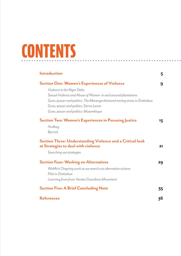## **CONTENTS**

|                                                                                                  | 5  |
|--------------------------------------------------------------------------------------------------|----|
| <b>Section One: Women's Experiences of Violence</b>                                              | 9  |
| Violence in the Niger Delta                                                                      |    |
| Sexual Violence and Abuse of Women in and around plantations                                     |    |
| Guns, power and politics: The Marange diamond mining areas in Zimbabwe                           |    |
| Guns, power and politics: Sierra Leone                                                           |    |
| Guns, power and politics: Mozambique                                                             |    |
| Section Two: Women's Experiences in Pursuing Justice                                             | 15 |
| Hudbay                                                                                           |    |
| <b>Barrick</b>                                                                                   |    |
| Section Three: Understanding Violence and a Critical look<br>at Strategies to deal with violence | 21 |
| Searching out strategies                                                                         |    |
|                                                                                                  |    |
| <b>Section Four: Working on Alternatives</b>                                                     | 29 |
| WoMin's Ongoing work as we search out alternative actions                                        |    |
| Pilot in Zimbabwe                                                                                |    |
| Learning from from Yaoska Guardians Movement                                                     |    |
| <b>Section Five: A Brief Concluding Note</b>                                                     | 35 |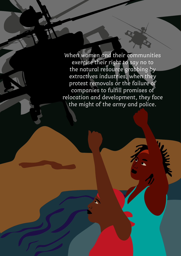*When women and their communities exercise their right to say no to the natural resource grabbing by extractives industries, when they protest removals or the failure of companies to fulfill promises of relocation and development, they face the might of the army and police.* 

**4 Extractives and Violence against Women**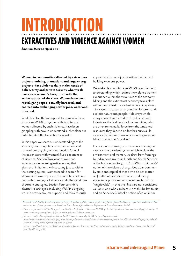## **INTRODUCTION**

#### **EXTRACTIVES AND VIOLENCE AGAINST WOMEN**

*Shamim Meer 12 April 2021*

**Women in communities affected by extractives projects - mining, plantations and large energy projects - face violence daily at the hands of police, army and private security who wreak havoc over women's lives, often with the active support of the state. Women have been raped, gang-raped, sexually harassed, and coerced into exchanging sex for jobs, water and firewood.** 

In addition to offering support to women in these situations WoMin, together with its allies and women affected by such violence, have been grappling with how to understand such violence in order to take effective actions against it.

In this paper we share our understandings of the violence, our thoughts on effective action, and some of our ongoing actions. Section One of the paper starts with women's lived experiences of violence. Section Two looks at women's experiences in pursuing justice, noting that given the limitations with securing justice within the existing system, women need to search for alternative forms of justice. Section Three sets out our understandings of violence and offers a critique of current strategies. Section Four considers alternative strategies, including WoMin's ongoing work to provide trauma support and think through

appropriate forms of justice within the frame of building women's power.

We make clear in this paper WoMin's ecofeminist understanding which locates the violence women experience within the structures of the economy. Mining and the extractivist economy takes place within the context of a violent economic system. This system is based on production for profit and exploits nature and people. It destroys whole ecosystems of water bodies, forests and land. It destroys the livelihoods of communities, who are often removed by force from the lands and resources they depend on for their survival. It exploits the labour of workers including women's labour and women's bodies.<sup>1</sup>

In addition to drawing on ecofeminist framings of capitalism as a violent system which exploits the environment and women, we draw from framings by indigenous groups in North and South America of the body as territory; on Ruth Wilson Gilmore's<sup>2</sup> notion of the violence of organised abandonment by state and capital of those who do not matter; on Judith Butler's<sup>3</sup> idea of violence done by states to populations considered less human or "ungrievable", in that their lives are not considered valuable, and who can because of this be left to die; and on Anne McClintock's notion of colonialism

*<sup>1</sup> Mapondera, M., Reddy, T. and Hargreaves S. (2019) If another world is possible, who is doing the imagining? Building an ecofeminist development alternative in a time of deep systemic crisis. Bread and Butter Series, African Feminist Reflections on Future Economies. AWDF*

*<sup>2</sup> Democracy Now. (2020) The Case for Prison Abolition: Ruth Wilson Gilmore on COVID-19, Racial Capitalism & Decarceration. May 5, 2020https:// www.democracynow.org/2020/5/5/ruth\_wilson\_gilmore\_abolition\_coronavirus*

*<sup>3</sup> Verso. (2020) A philosophy of nonviolence: Judith Butler interviewed by Alex Doherty. 14 September 2020* 

*https://www.versobooks.com/blogs/4851-a-philosophy-of-nonviolence-judith-butler-interviewed-by-alex doherty?fbclid=IwAR2IOi9mgCVqGaRsuCbrlnhQhTTUfqvpWBhOA\_MlwKFHf2ocIeDcn35zsds* 

*Verso. (2020) Judith Butler: on COVID-19, the politics of non-violence, necropolitics, and social inequality, Jul 23, 2020 https://www.youtube.com/ watch?v=6Bnj7H7M\_Ek*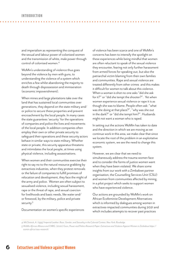and imperialism as representing the conquest of the sexual and labour power of colonised women and the transmission of white, male power through control of colonised women.<sup>4</sup>

WoMin's understanding of violence thus goes beyond the violence by men with guns, to understanding the violence of a system which enriches a few whilst abandoning the majority to death through dispossession and immiseration (economic impoverishment).

When mines and large plantations take over the land that has sustained local communities over generations, they depend on the state military and/ or police to secure these properties and prevent encroachment by the local people. In many cases the state guarantees 'security' for the operations of companies and police the lives and movements of the local people. In addition companies often employ their own or other private security to safeguard their operations and these security actors behave in similar ways to state military. Whether state or private, this security apparatus threatens and intimidates the local people, at times using physical violence, including assassinations.

When women and their communities exercise their right to say no to the natural resource grabbing by extractives industries, when they protest removals or the failure of companies to fulfill promises of relocation and development, they face the might of the army and police. Women are often subject to sexualised violence, including sexual harassment, rape or the threat of rape, and sexual coercion for livelihoods and basic needs, like water and/ or firewood, by the military, police and private security.<sup>5</sup>

Documentation on women's specific experiences

of violence has been scarce and one of WoMin's concerns has been to intensify the spotlight on these experiences while being mindful that women are often reluctant to speak of the sexual violence they encounter, fearing not only further harassment from armed forces for speaking out, but also the patriarchal victim blaming from their own families and communities. Rape and sexual violence are treated differently from other crimes and this makes it difficult for women to talk about this violence. When a woman is shot no one asks "did she ask for it?" or "did she tempt the shooter?". Yet when women experience sexual violence or rape it is as though she was to blame. People often ask: "what was she doing at that place?", "why was she out in the dark?" or "did she tempt him?". Husbands might not want a woman who is raped.

In setting out the actions WoMin has taken to date and the direction in which we are moving as we continue work in this area, we make clear that since we locate the root of the problem in an exploitative economic system, we see the need to change this system.

However, we are clear that we need to simultaneously address the trauma women face and to consider the forms of justice women want when they have been violated. We share some insights from our work with a Zimbabwe partner organisation, the Counselling Services Unit (CSU) and women from communities affected by mining, in a pilot project which seeks to support women who have experienced violence.

Our actions are grounded by WoMin's work on African Ecofeminist Development Alternatives which is informed by dialogues among women in extractives-impacted communities during 2021 and which includes attempts to recover past practices

*<sup>4</sup> McClintock, A. (1995) Imperial Leather: Race, Gender, and Sexuality in the Colonial Contest. New York: Routledge*

*<sup>5</sup> WoMin African Alliance and CNRG. (2020) Guns, Power and Politics Research Paper: Extractives and Violence Against Women in Zimbabwe https:// womin.africa/vaw-research/*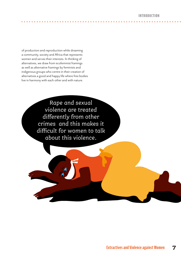of production and reproduction while dreaming a community, society and Africa that represents women and serves their interests. In thinking of alternatives, we draw from ecofeminist framings as well as alternative framings by feminists and indigenous groups who centre in their creation of alternatives a good and happy life where free bodies live in harmony with each other and with nature.

> *Rape and sexual violence are treated differently from other crimes and this makes it difficult for women to talk about this violence.*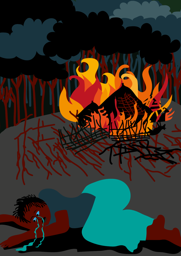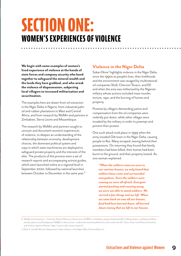## **SECTION ONE: WOMEN'S EXPERIENCES OF VIOLENCE**

**We begin with some examples of women's lived experience of violence at the hands of state forces and company security who band together to safeguard the mineral wealth and the lands they have grabbed, and who wreak the violence of dispossession, subjecting local villagers to increased militarisation and securitisation.** 

The examples here are drawn from oil extraction in the Niger Delta in Nigeria, from industrial palm oil and rubber plantations in West and Central Africa, and from research by WoMin and partners in Zimbabwe, Sierra Leone and Mozambique.

The research by WoMin and partners sought to uncover and document women's experiences of violence, to deepen an understanding of the relationship between economy, development choices, the dominant political system and ways in which state machineries are deployed to safeguard private property and the interests of the elite. The products of this process were a set of research reports and accompanying activist guides, which were launched online at a regional level in September 2020, followed by national launches between October to December in the same year.<sup>6</sup>

#### **Violence in the Niger Delta**

Sokari Ekine<sup>7</sup> highlights violence in the Niger Delta since the 1990s as people's lives, their livelihoods and the environment was ravaged by multinational oil companies Shell, Chevron/Texaco, and Elf, and when the area was militarised by the Nigerian military whose actions included mass murder, torture, rape, and the burning of homes and property.

Protests by villagers demanding justice and compensation from the oil companies were violently put down, while other villages were invaded by the military in order to preempt and prevent their protest.

One such attack took place in 1999 when the army invaded Odi town in the Niger Delta, causing people to flee. Many escaped, leaving behind their possessions. On returning they found that family members had been killed, their homes had been burnt to the ground, and their property looted. As one woman explained:

*"When the soldiers came we were in our various houses, we only heard that soldiers have come and surrounded everywhere. Since the soldiers were coming we were all afraid. Everyone started packing and running away, we were not able to stand soldiers. We carried a few things and we left. When we came back we saw all our houses, food had been burned down, all burned down money that we left in our houses.* 

*<sup>6</sup> WoMin and its partners – Centre for Natural Resource Governance (CNRG) in Zimbabwe, Justiçia Ambiental (JA) in Mozambique, and Network Movement for Justice and Development (NMJD) in Sierra Leone –undertook research published in 2020 under the title "Guns, Power and Politics Extractives and Violence Against Women" https://womin.africa/vaw-research/*

*<sup>7</sup> Ekine S. (2008) Women's Responses to State Violence in the Niger Delta. Feminist Africa 10*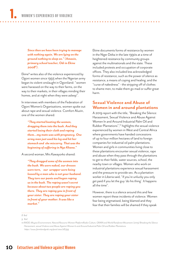*Since then we have been trying to manage with nothing again. We are lying on the ground nothing to sleep on." (Amasin, primary school teacher, Odi in Ekine 2008<sup>8</sup> ).*

Ekine<sup>9</sup> writes also of the violence experienced by Ogoni women since 1993 when the Nigerian army began its violent onslaught in Ogoniland: "women were harassed on the way to their farms, on the way to their markets, in their villages minding their homes, and at night when they were asleep".

In interviews with members of the Federation of Ogoni Women's Organisations, women spoke out about rape and sexual violence. Comfort Aluzin, one of the women shared:

*"They started beating the women, dragging them into the bush. And they started losing their cloth and raping them…my mate was with pregnancy. One army man just used his leg and hit her stomach and she miscarry. That was the beginning of suffering in Nyo Khana."* 

A second woman, Mrs Kawayorko shared:

*"They dragged some of the women into the bush. We were naked, our dresses were torn, our wrapper were being loosed by a man who is not your husband. They tore our pants and began raping us in the bush. The raping wasn't secret because about two people are raping you there. They are raping you in front of your sister. They are raping your sister in front of your mother. It was like a market."* 

Ekine documents forms of resistance by women in the Niger Delta in the late 1990s at a time of heightened resistance by community groups against the multinationals and the state. These included protests and occupation of corporate offices. They also included less acknowledged forms of resistance, such as the power of silence as resistance, a means of coping and healing; and the "curse of nakedness" - the stripping off of clothes to shame men, to make them go mad or suffer great harm.

#### **Sexual Violence and Abuse of Women in and around plantations**

A 2019 report with the title, "Breaking the Silence: Harassment, Sexual Violence and Abuse Against Women In and Around Industrial Palm Oil and Rubber Plantations",<sup>10</sup> highlights the sexual violence experienced by women in West and Central Africa where governments have handed concessions of up to four million hectares of land to foreign companies for industrial oil palm plantations. Women and girls in communities living close to these plantations encounter sexual violence, rape and abuse when they pass through the plantations to get to their fields, water sources, school, the nearby town or villages. Women who work on industrial plantations experience sexual harassment and the pressure to provide sex. As a plantation worker in Liberia said, "if you're unlucky you only get paid if you let the guy 'do his thing'. It happens all the time".

However, there is a silence around this and few women report these incidents of violence. Women fear being stigmatised, being blamed and they fear that their families will be shamed if they speak

*<sup>8</sup> Ibid*

*<sup>9</sup> Ibid*

*<sup>10</sup> RADD, Muyissi Environnment, Natural Resource Women PlatformRadio Culture, GRAIN and World Rainforest Movement.(2019) Breaking the Silence Harassment, sexual Violence and Abuse Against Women In and Around Industrial Palm Oil and Rubber Plantations https://www.farmlandgrab.org/post/view/28799*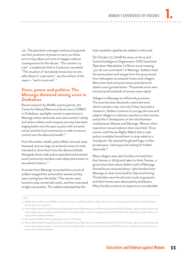out. The plantation managers and security guards use their positions of power to carry out these acts or they allow such acts to happen without consequences for the abuser. "Our women cry a lot", a traditional chief in Cameroon remarked. "The situation of 'everybody knows but no-one talks about it' is pervasive", say the authors of the report – "and it must end".<sup>11</sup>

#### **Guns, power and politics: The Marange diamond mining areas in Zimbabwe**

Recent research by WoMin and its partner, the Centre for Natural Resource Governance (CNRG) in Zimbabwe, spotlights women's experiences in Marange where diamonds were discovered in 2005 and where military and company security have been waging battle over the past 14 years with artisanal miners and the local community in order to secure control over the diamond wealth.<sup>12</sup>

From November 2006, police killed, tortured, beat, harassed, and set dogs on artisanal miners In raids intended to drive them from the diamond fields. Alongside these raids police assaulted and arrested local community members and subjected women to sexualised violence.<sup>13</sup>

A woman from Marange recounted how a truck of soldiers stopped her and another woman as they were coming from the fields.<sup>14</sup> The women were forced to strip, armed with sticks, and then instructed to fight one another. The soldiers indicated that the

loser would be raped by the soldiers in the truck.

On October 27, 2008 the army, air force and Central Intelligence Organisation (CIO) launched Operation Hakudzokwi (a Shona word meaning 'you do not come back') in Marange. Soldiers fired live ammunition and teargas from the ground and from helicopters at artisanal miners and villagers. More than 200 artisanal miners and diamond dealers were gunned down. Thousands more were tortured and hundreds of women were raped.

Villagers in Marange are effectively prisoners. The area has been declared a restricted zone which outsiders may visit only if they have police clearance. Soldiers continue to occupy the area and subject villagers to arbitrary searches in their homes, and at the 11 checkpoints on the 100 kilometer road between Mutare and Marange. Women often experience sexual violence when searched. Three women told Human Rights Watch that a male police constable forced them to strip naked at a checkpoint. He inserted his gloved finger in their private parts, claiming to be looking for hidden diamonds.<sup>15</sup>

Many villagers were also forcibly removed from their homes in 2009 and taken to Arda Transau, a government farm about 60km north of Marange. Armed forces removed these 1 300 families from Marange to clear more land for diamond mining. The families were forced onto trucks at gunpoint and their homes were destroyed by bulldozers. Many families continue to experience considerable

*11 Ibid*

*<sup>12</sup> WoMin African Alliance and CRNG. (2020) Guns, Power and Politics Research Paper: Extractives and Violence Against Women in Zimbabwe https:// womin.africa/vaw-research/*

*<sup>13</sup> Human Rights Watch (2009) Diamonds in the Rough Human Rights Abuses in the Marange Diamond Fields of Zimbabwe, reports on the brutality and human rights abuses wreaked on artisanal miners and villagershttps://www.hrw.org/report/2009/06/26/diamonds-rough/human-rights-abuses-marange-diamond-fields-zimbabwe*

*<sup>14</sup> Recounted to WoMin and Counselling Services Unit, Zimbabwe* 

*<sup>15</sup> Human Rights Watch (2009) Diamonds in the Rough Human Rights Abuses in the Marange Diamond Fields of Zimbabwe, reports on the brutality and human rights abuses wreaked on artisanal miners and villagershttps://www.hrw.org/report/2009/06/26/diamonds-rough/human-rights-abuses-marange-diamond-fields-zimbabwe*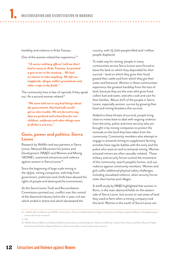hardship and violence in Arda Transau.

One of the women related her experience:<sup>16</sup>

*"[A senior military officer] told me that I had to move to Arda Transau, he pointed a gun at me in the meeting… We had no chance to take anything. We left our mapfunde, (finger millet) groundnuts and other crops in the fields."* 

The community lives in fear of reprisals if they speak out. As a second woman related:<sup>17</sup>

*"We were told not to say bad things about the government, that bad talk would get us into trouble. We are forced to say that we get food and school fees for our children, uniforms and other things even if all this is not true."* 

#### **Guns, power and politics: Sierra Leone**

Research by WoMin and two partners in Sierra Leone, Network Movement for Justice and Development (NMJD) and Women and Mining (WOME), examined extractives and violence against women in Sierra Leone.<sup>18</sup>

Since the beginning of large scale mining in the 1930s, mining companies, with help from government, politicians and chiefs have abused the rights of people and destroyed the environment.

As the Sierra Leone Truth and Reconciliation Commission pointed out, conflict over the control of the diamond industry led to the 11-year civil war which ended in 2002 and which devastated the

country, with 75 000 people killed and 1 million people displaced.

 $\begin{array}{cccccccccccccc} \bullet & \bullet & \bullet & \bullet & \bullet & \bullet & \bullet \end{array}$ 

To make way for mining, people in many communities across Sierra Leone were forced to leave the land on which they depended for their survival – land on which they grew their food, grazed their cattle and from which they got their water and firewood. Women in these communities experience the greatest hardship from this loss of land, because they are the ones who grow food, collect fuel and water, and who cook and care for their families. About 70% of the people in Sierra Leone, especially women, survive by growing their food and mining threatens this survival.

Added to these threats of survival, people living close to mines have to deal with ongoing violence from the army, police and mine security who are brought in by mining companies to protect the minerals on the land they have taken from the community. Community members who attempt to engage in artisanal mining to supplement farming activities have regular battles with the army and the police who want an end to artisanal mining. Women artisanal miners are often sexually violated. These military and security forces control the movement of the community, search people's homes, and use violence against community members. Women and girls suffer additional physical safety challenges, including sexualised violence, when security forces enter their homes and villages.

A 2018 study by NMJD highlighted that women in Kono, in the main diamond fields on the eastern side of Sierra Leone, lost access to vast areas of land they used to farm when a mining company took this land. Women in the south of Sierra Leone can

 *.*

*<sup>16 «</sup> WoMin African Alliance and CRNG. (2020) Guns, Power and Politics Research Paper: Extractives and Violence Against Women in Zimbabwe https:// womin.africa/vaw-research/*

*<sup>17</sup> ibid*

*<sup>18</sup> WoMin African Alliance and Network Movement for Justice and Development, Women and Mining. (2020) Guns Power and Politics Research Paper: Extractives and Violence Against Women in Sierra Leone https://womin.africa/vaw-research/*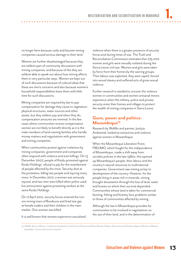no longer farm because rutile and bauxite mining companies caused serious damage to their land.

Women are further disadvantaged because they are seldom part of community discussions with mining companies, and because of this they are seldom able to speak out about how mining affects them in very particular ways. Women are kept out of such discussions because of cultural ideas that these are men's concerns and also because women's household responsibilities leave them with little time for such discussions.

Mining companies are required by law to pay compensation for damage they cause to vegetation, physical structures, water sources and other assets, but they seldom pay and when they do, compensation amounts are minimal. In the few cases where communities receive compensation women are not likely to benefit directly as it is the male members of land-owning families who handle money matters and negotiations with government and mining companies.

When communities protest against violations by mining companies, government and companies often respond with violence and even killings. On 13 December 2007, people of Koidu protested against Koidu Holdings' refusal to pay for the resettlement of people affected by the mine. Security shot at the protesters, killing two people and injuring many more. In December 2012, a woman was seriously injured, and two men were killed when police used live ammunition against protesting workers at the same Koidu Holdings.

On 17April 2012, security forces entered the iron ore mining town of Bumbuna and fired tear gas at female traders and their children in the main market. One woman was killed.

It is well known that women experience sexualised

violence when there is a greater presence of security forces and during times of war. The Truth and Reconciliation Commission estimates that 275 000 women and girls were sexually violated during the Sierra Leone civil war. Women and girls were taken by force from their homes by the warring groups. Their labour was exploited, they were raped, forced into sexual slavery and suffered acts of gross sexual violence.

Further research is needed to uncover the violence women in communities and women artisanal miners experience when the military, police and private security enter their homes and villages to protect the wealth of mining companies in Sierra Leone.

#### **Guns, power and politics: Mozambique<sup>19</sup>**

Research by WoMin and partner, Justiçia Ambiental, looked at extractives and violence against women in Mozambique.

When the Mozambique Liberation Front, FRELIMO, which fought for the independence of Mozambique, made a shift away from socialist policies in the late 1980s, this opened up Mozambique's people, their labour and the country's natural resources to multinational companies. Government saw mining as key to development of the country. However, for the people living in areas rich in minerals, mining brought devastation through the loss of land, water and forests on which their survival depended. Communities whose land is taken for commercial farming, fishing and forestry face problems similar to those of communities affected by mining.

Although the law in Mozambique provides for communities to be involved in negotiations on the use of their land, and in the determination of

*19 WoMin African Alliance, and Justiçia Ambiental. (2020) Guns Power and Politics Research Paper: Extractives and Violence Against Women in Mozambiqu[ehttps://womin.africa/vaw-research/](https://womin.africa/vaw-research/)*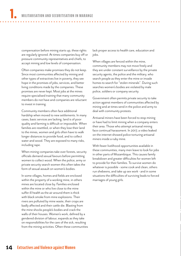compensation before mining starts up, these rights are regularly ignored. At times companies buy off or pressure community representatives and chiefs, to accept mining and low levels of compensation.

Often companies make promises they do not keep. Since most communities affected by mining and other types of extractives live in poverty, they see hope in the promises of jobs, services, and better living conditions made by the companies. These promises are never kept. Most jobs at the mines require specialised training that many community members do not have and companies are reluctant to invest in training.

Community members often face additional hardship when moved to new settlements. In many cases, basic services are lacking, land is of poor quality and farming is difficult or impossible. When families are resettled, or when they lose their land to the mines, women and girls often have to walk longer distances to provide food, and to collect water and wood. They are exposed to many risks, including rape.

When mining companies take over forests, security officials demand sexual favours before permitting women to collect wood. When the police, army or private security search women this often takes the form of sexual assault on women's bodies.

In some villages, homes and fields are enclosed within the property of a working mine, in others mines are located close by. Families enclosed within the mine or who live close to the mine suffer ill health as the air around them is thick with black smoke from mine explosions. Their rivers are polluted by mine waste, their crops are badly affected and their cattle die. Blasting from the mine shocks people's bodies and crack the walls of their houses. Women's work, defined by a gendered division of labour, expands as they take on responsibilities for the care of the sick, resulting from the mining activities. Often these communities lack proper access to health care, education and jobs.

When villages are fenced within the mine, community members may not move freely and they are under constant surveillance by the private security agents, the police and the military, who search people as they enter the mine or invade homes to search for "stolen minerals". During such searches women's bodies are violated by male police, soldiers or company security.

Government often permits private security to take action against members of communities affected by mining and at times send in the police and army to deal with community protests.

Artisanal miners have been forced to stop mining or have had to limit mining when a company enters their area. Those who attempt artisanal mining face continual harassment. In 2017, a video leaked on the internet showed police torturing artisanal miners inside a ruby mine.

With fewer livelihood opportunities available in these communities, many men leave to look for jobs in other parts of Mozambique. This causes family breakdown and greater difficulties for women left to provide for their families. To survive women do whatever is possible - some cook and clean, others run shebeens, and take up sex work - and in some situations the difficulties of surviving leads to forced marriages of young girls.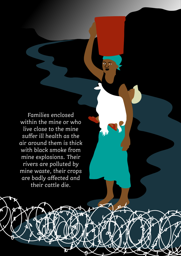*Families enclosed within the mine or who live close to the mine suffer ill health as the air around them is thick with black smoke from mine explosions. Their rivers are polluted by mine waste, their crops are badly affected and their cattle die.* 

**Extractives and Violence against Women 15**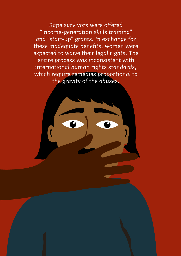*Rape survivors were offered "income-generation skills training" and "start-up" grants. In exchange for these inadequate benefits, women were expected to waive their legal rights. The entire process was inconsistent with international human rights standards, which require remedies proportional to the gravity of the abuses.*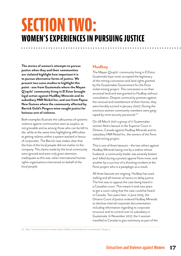## **SECTION TWO: WOMEN'S EXPERIENCES IN PURSUING JUSTICE**

**The stories of women's attempts to pursue justice when they and their communities are violated highlight how important it is to pursue alternative forms of justice. We present two cases studies to highlight this point - one from Guatemala where the Mayan Q'eqchi' community living in El Estor brought legal action against HudBay Minerals and its subsidiary HMI Nickel Inc; and one from Papua New Guinea where the community affected by Barrick Gold's Porgera mine sought justice for heinous acts of violence.** 

Both examples illustrate the callousness of systemic violence against communities seen as surplus, as not grievable and as among those who can be left to die, while at the same time highlighting difficulties at getting redress within a system stacked in favour of corporates. The Barrick case makes clear that the lives of the local people did not matter to the company. The claims made by the local community were ignored and were only given attention, inadequate as this was, when international human rights organisations intervened on behalf of the local people.

#### **Hudbay**

The Mayan Q'eqchi' community living in El Estor, Guatemala have never accepted the legitimacy of the mining concession and land rights granted by the Guatemalan Government for the Fenix nickel mining project. The concession is on their ancestral land and was granted to Hudbay without consultation. Despite community protests against the removal and resettlement of their homes, they were forcibly evicted in January 2007. During the evictions women community members were gangraped by mine security personnel.<sup>20</sup>

On 28 March 2011 a group of 11 Guatemalan women filed a lawsuit in the Superior Court in Ontario, Canada against Hudbay Minerals and its subsidiary HMI Nickel Inc, the owners of the Fenix nickel mining project.

This is one of three lawsuits – the two others against Hudbay Minerals being one by a widow whose husband, a community leader was severely beaten and killed during a protest against Fenix mine; and another by a survivor of a shooting incident at the Fenix project who is a paraplegic as a result.

All three lawsuits are ongoing. Hudbay has used stalling and all manner of tactics to delay justice. The first was to oppose the case being heard in a Canadian court. This meant it took two years to get a court ruling that the case could be heard in Canada. Two years later, in June 2015, the Ontario Court of Justice ordered Hudbay Minerals to disclose internal corporate documentation including information regarding its corporate structure and its control over its subsidiary in Guatemala. In November 2017, the 11 women travelled to Canada to give testimony as part of the

*20 <https://www.business-humanrights.org/en/hudbay-minerals-lawsuits-re-guatemala-0?page=3>*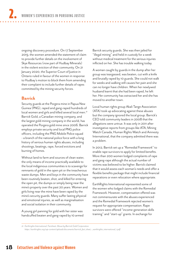ongoing discovery procedure. On 17 September 2019, the women amended the statement of claim to provide further details on the involvement of Skye Resources (now part of Hudbay Minerals) in the violent eviction of their community. On 21 January 2020, the Superior Court of Justice in Ontario ruled in favour of the women in response to Hudbay's motion to block them from amending their complaint to include further details of rapes committed by the mining security forces.

#### **Barrick**

Security guards at the Porgera mine in Papua New Guinea (PNG), raped and gang-raped hundreds of local women and girls and killed several local men.<sup>21</sup> Barrick Gold, a Canadian mining company, and the largest gold mining company in the world, has operated the Porgera gold mine since 2006. Barrick employs private security and local PNG police officers, including the PNG Mobile Police squad - a branch of the national police force with a long history of serious human rights abuses, including shootings, beatings, rape, forced evictions and burning of homes.

Without land to farm and sources of clean water, the only means of income practically available to the local indigenous communities is to scavenge for remnants of gold in the open pit or the treacherous waste dumps. Men and boys in the community have been routinely beaten, shot, and killed for entering the open pit, the dumps or simply being near the mine's property over the past 20 years. Women and girls living near the mine have been raped by the mine's security guards. Many suffer lasting physical and emotional injuries, as well as marginalisation and social isolation in their community.

A young girl panning for gold with her sister was handcuffed beaten and gang-raped by 10 armed

Barrick security guards. She was then jailed for "illegal mining" and held in custody for a week without medical treatment for the serious injuries inflicted on her. She has trouble walking today.

A woman caught by guards in the dump after her group was teargassed, was beaten, cut with a knife and brutally raped by 10 guards. She could not walk for weeks and walking still causes her pain and she can no longer have children. When her newlywed husband learnt that she had been raped, he left her. Her community has ostracised her and she has moved to another town.

Local human rights group Akali Tange Association (ATA) took up advocating against these abuses but the company ignored the local group. Barrick's CEO told community leaders in 2008 that the allegations were untrue. It was only in 2011 after investigative reports from groups like ATA, Mining Watch Canada, Human Rights Watch and Amnesty International, that the company admitted there was a problem.

In 2012, Barrick set up a "Remedial Framework" to enable rape survivors to apply for limited benefits. More than 200 women lodged complaints of rape and gang-rape although the actual number of victims was believed to be higher. Barrick claimed that it would assess each woman's needs and offer a flexible benefits package that might include financial reparations or even relocation where appropriate.

EarthRights International represented some of the women who lodged claims with the Remedial Framework. However, compensation offered was not commensurate with the abuses experienced and the Remedial Framework rejected women's request for appropriate compensation. Rape survivors were offered "income-generation skills training" and "start-up" grants. In exchange for

*21 Earthrights International. Factsheet: Abuse by Barrick Gold Corporation https://earthrights.org/wp-content/uploads/documents/barrick\_fact\_sheet\_-\_earthrights\_international\_1.pdf*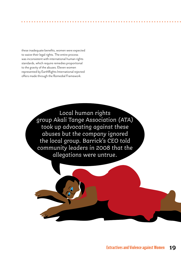these inadequate benefits, women were expected to waive their legal rights. The entire process was inconsistent with international human rights standards, which require remedies proportional to the gravity of the abuses. Eleven women represented by EarthRights International rejected offers made through the Remedial Framework.

> *Local human rights group Akali Tange Association (ATA) took up advocating against these abuses but the company ignored the local group. Barrick's CEO told community leaders in 2008 that the allegations were untrue.*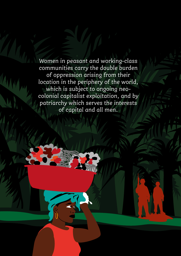*Women in peasant and working-class communities carry the double burden of oppression arising from their location in the periphery of the world, which is subject to ongoing neocolonial capitalist exploitation, and by patriarchy which serves the interests of capital and all men.*

**20 Extractives and Violence against Women**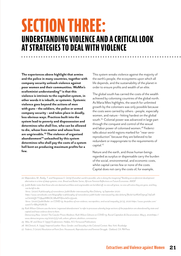### **SECTION THREE: UNDERSTANDING VIOLENCE AND A CRITICAL LOOK AT STRATEGIES TO DEAL WITH VIOLENCE**

**The experiences above highlight that armies and the police in many countries, together with company security unleash violence against poor women and their communities. WoMin's ecofeminist understanding<sup>22</sup> is that this violence is intrinsic to the capitalist system, in other words it is inbuilt, or systemic. Systemic violence goes beyond the actions of men with guns – the soldiers, the police or armed company security – and takes place in deadly, less obvious ways. Practices built into the system lead to poverty and dispossession and determines who shall live, who can be allowed to die, whose lives matter and whose lives are ungrievable.<sup>23</sup> The violence of organised abandonment<sup>24</sup> unleashed by this system determines who shall pay the costs of a system hell bent on producing maximum profits for a few.** 

This system wreaks violence against the majority of the earth's people, the ecosystems upon which all life depends, and the sustainability of the planet in order to ensure profits and wealth of an elite.

The global south has carried the costs of the wealth achieved by colonising countries of the global north. As Maria Mies highlights, the search for unlimited growth by the colonisers was only possible because the costs were carried by others - people, especially women, and nature – hitting hardest on the global south.25. Colonial power was advanced in large part through the conquest and control of the sexual and labor power of colonised women.<sup>26</sup> Federici talks about world regions marked for "near-zeroreproduction" because they are believed to be redundant or inappropriate to the requirements of capital.<sup>27</sup>

Nature and the earth, and those human beings regarded as surplus or dispensable carry the burden of the social, environmental, and economic costs, whilst capital carries few or none of the costs. Capital does not carry the costs of, for example,

*22 Mapondera, M., Reddy, T. and Hargreaves S. (2019) If another world is possible, who is doing the imagining? Building an ecofeminist development alternative in a time of deep systemic crisis. Bread and Butter Series, African Feminist Reflections on Future Economies. AWDF*

*23 Judith Butler notes that those who are deemed worthless and ungrievable can be killed off, no one will grieve, no one will notice they are gone, and they can be left to die.* 

*Verso. (2020) A philosophy of nonviolence: Judith Butler interviewed by Alex Doherty. 14 September 2020* 

*https://www.versobooks.com/blogs/4851-a-philosophy-of-nonviolence-judith-butler-interviewed-by-alex doherty?fbclid=IwAR2IOi9mgCVqGaRsuCbrlnhQhTTUfqvpWBhOA\_MlwKFHf2ocIeDcn35zsds;* 

*Verso. (2020) Judith Butler: on COVID-19, the politics of non-violence, necropolitics, and social inequality, Jul 23, 2020 https://www.youtube.com/ watch?v=6Bnj7H7M\_Ek*

*24 Ruth Wilson Gilmore uses the terms 'organised abandonment' to refer to processes whereby large sections of the population are abandoned by state and capital and have violence done to them. Democracy Now. (2020) The Case for Prison Abolition: Ruth Wilson Gilmore on COVID-19, Racial Capitalism & Decarceration. May 5, 2020https://*

*www.democracynow.org/2020/5/5/ruth\_wilson\_gilmore\_abolition\_coronavirus*

*25 Mies, M. and Shiva V. (1993) Ecofeminism. Halifax, N.S: Fernwood Publications*

*<sup>26</sup> McClintock, A. (1995) Imperial Leather: Race, Gender, and Sexuality in the Colonial Contest. New York: Routledge*

*<sup>27</sup> Federici, S (2020) Revolution at Point Zero: Housework, Reproduction and Feminist Struggle. Oakland, CA. PM Press*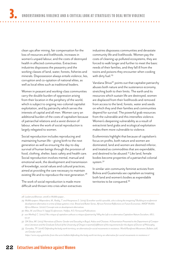clean ups after mining, fair compensation for the loss of resources and livelihoods, increases in women's unpaid labour, and the costs of destroyed health in affected communities. Extractives industries dispossess the peasantry and the working classes of land, water, forests, fisheries and minerals. Dispossession always entails violence, lies, corruption and co-optation of national elites, as well as local elites such as traditional leaders.

Women in peasant and working-class communities carry the double burden of oppression arising from their location in the periphery of the world, which is subject to ongoing neo-colonial capitalist exploitation, and by patriarchy which serves the interests of capital and all men. Women carry an additional burden of the costs of capitalism because of patriarchal relations and a sexist division of labour, where the work of social reproduction is largely relegated to women.

Social reproduction includes reproducing and maintaining human life – giving birth to the next generation as well as ensuring the day-to-day survival of human beings through the provision of food, clothing, shelter, basic safety and health care. Social reproduction involves mental, manual and emotional work, the development and transmission of knowledge, social values and cultural practices, aimed at providing the care necessary to maintain existing life and to reproduce the next generation.<sup>28</sup>

The work of social reproduction is made more difficult and thrown into crisis when extractives industries dispossess communities and devastate community life and livelihoods. Women pay the costs of cleaning up polluted ecosystems, they are forced to walk longer and further to meet the basic needs of their families, and they fall ill from the toxins and poisons they encounter when cooking with dirty fuel.<sup>29</sup>

Vandana Shiva<sup>30</sup> points out that capitalist patriarchy abuses both nature and the sustenance economy, stretching both to their limits. The earth and its resources which sustain life are destroyed, women are displaced from their livelihoods and removed from access to the land, forests, water and seeds on which they and their families and communities depend for survival. The powerful grab resources from the vulnerable and this intensifies violence. Women's deepening vulnerability as a result of extractivist land grabs and ecological exploitation makes them more vulnerable to violence.

Ecofeminists highlight that because of capitalism's focus on profits, both nature and women are dominated, land and women are deemed inferior, and treated as commodities that are expendable, and destined to be abused.<sup>31</sup> Like land, female bodies become properties of a patriarchal colonial system.<sup>32</sup>

In similar vein community feminist activists from Bolivia and Guatemala see capitalism as treating both land and women's bodies as expendable territories to be conquered.<sup>33</sup>

*https://wrm.org.uy/articles-from-the-wrm-bulletin/defending-the-body-earth-territory-an-alternative-for-social-movements-in-resistance-1/*

*<sup>28</sup> Laslett and Brenner, 2006 in WoMin paper…*

*<sup>29</sup> WoMin papers: Mapondera, M., Reddy, T. and Hargreaves S. (2019) If another world is possible, who is doing the imagining? Building an ecofeminist development alternative in a time of deep systemic crisis. Bread and Butter Series, African Feminist Reflections on Future Economies. AWDF WoMin Africa Alliance. (2020) Concept note on development alternatives* 

*<sup>30</sup> Mies, M. and Shiva V. (1993) Ecofeminism. Halifax, N.S: Fernwood Publications*

*<sup>31</sup> von Werlhof, C. (2007) No critique of capitalism without a critique of patriarchy! Why the Left is no alternative.Capitalism Nature Socialism, 18(1), 13-27*

*<sup>32</sup> DA Silva, MI. (2013) Narratives of Desire: Gender and Sexuality in Bugul, Aidoo and Chiziane. A Dissertation Presented to the Department of Comparative Literature and the Graduate School of the University of Oregon in partial fulfillment of the requirements for the degree of Doctor of Philosophy*

*<sup>33</sup> González, TP. (2016) Defending the body-earth territory: an alternative for social movements in resistance. World Rainforest Movement, Bulletin 226, 20 October 2016*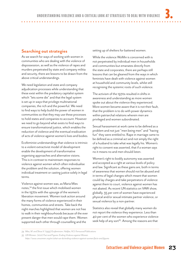#### **Searching out strategies**

As we search for ways of working with women in communities who are dealing with the violence of dispossession, as well as the violence of rapes and murders perpetrated by state and company militia and security, there are lessons to be drawn from the above critical understandings.

We need legislation and state and company adjudication processes while understanding that these exist within the predatory capitalist system which "lets some die" and that the legal system is set up in ways that privilege multinational companies, the rich and the powerful. We need to find ways to help build the power of women in communities so that they may use these processes to hold states and companies to account. However we need to go beyond what exists to find ways to ensure transformational justice, which enables the reduction of violence and the eventual eradication of acts of violence against women's lives and bodies.

Ecofeminist understandings that violence is intrinsic to a violent extractivist model of development enable the development of transformative organising approaches and alternative visions. This is in contrast to mainstream responses to violence against women which often individualise the problem and the solution, offering women individual treatment or casting justice solely in legal terms.

Violence against women was, as Maria Mies notes,<sup>34</sup> the first issue which mobilised women in the 1970s with the upsurge of the women's liberation movement. Women took action around the many forms of violence experienced in their homes, communities and streets. Take back the night marches highlighted that women are not free to walk in their neighbourhoods because of the ever present danger that men would rape them. Women supported each other through counselling and the

setting up of shelters for battered women.

While the violence WoMin is concerned with is not perpetrated by individual men in households and communities but emanates directly from the state and corporates, there are perhaps still lessons that can be gleaned from the ways in which feminists have dealt with violence against women at household and community levels, whilst still recognising the systemic roots of such violence.

The activism of the 1970s resulted in shifts in awareness and understanding as more women spoke out about the violence they experienced. More women became aware that it is not their fault, that the problem is to do with power dynamics within patriarchal relations wherein men are privileged and women subordinated.

Sexual harassment at work came to be defined as a problem and not just "men being men" and "having fun" they were entitled to. Rape in marriage came to be defined as a criminal act and not simply the right of a husband to take what was legally his. Women's right to consent was asserted, that if a woman says no it means no and men should listen.

Women's right to bodily autonomy was asserted and accepted as a right at various levels of policy and law. Significant as these gains are, both in terms of awareness that women should not be abused and in terms of legal changes which meant that women could lay charges and take perpetrators of violence against them to court, violence against women has not abated. As recent UN statistics on VAW show, globally, 35 per cent of women have experienced physical and/or sexual intimate partner violence, or sexual violence by a non-partner.

Statistics also reveal that globally many women do not report the violence they experience. Less than 40 per cent of the women who experience violence seek help of any sort<sup>35</sup>. Among the reasons are that

*35 UN Women. (2021) Fact and Figures: Ending Violence against Women* 

*<sup>34</sup> Mies, M. and Shiva V. (1993) Ecofeminism. Halifax, N.S: Fernwood Publications*

*https://www.unwomen.org/en/what-we-do/ending-violence-against-women/facts-and-figures*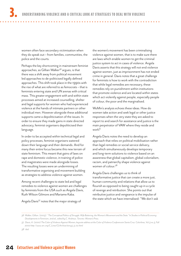$\begin{array}{cccccccccccccc} \bullet & \bullet & \bullet & \bullet & \bullet & \bullet & \bullet & \bullet & \bullet \end{array}$ 

women often face secondary victimisation when they do speak out – from families, communities, the police and the courts.

Perhaps the key shortcoming in mainstream feminist approaches, as Gillian Walker $3^6$  argues, is that there was a shift away from political movement led approaches to de-politicised legally defined approaches. This shift took place in the 1990s with the rise of what are referred to as femocrats – that is feminists entering state and UN arenas with critical mass. This greater engagement with and within state processes aimed at increased counselling, shelter and legal supports for women who had experienced violence at the hands of intimate partners or other individual men. However alongside these additional supports came a depoliticisation of the issues. In order to ensure they made gains in state directed advocacy, feminist organisers depoliticised their language.

In order to be accepted within technical legal and policy processes, feminist organisers watered down their language and their demands. And for many their entire focus became this new terrain of state feminism. This meant that gains of laws on rape and domestic violence, in training of police and magistrates were made alongside losses. The resulting losses were an undermining of transformative organising and movement building as strategies to address violence against women.

Among recent challenges to state led and legal remedies to violence against women are challenges by feminists from the USA such as Angela Davis, Ruth Wilson Gilmore and Mariame Kaba.

Angela Davis<sup>37</sup> notes that the major strategy of

the women's movement has been criminalising violence against women, that is to make sure there are laws which enable women to get the criminal justice system to act in cases of violence. Angela Davis asserts that this strategy will not end violence against women, just as imprisonment has not ended crime in general. Davis notes that a great challenge for feminists is how to work with the contradiction that while legal remedies are necessary, these remedies rely on punishment within institutions that promote violence and are located within states which act violently against people, especially people of colour, the poor and the marginalised.

WoMin's analysis echoes these ideas. How do women take action and seek legal or other justice responses when the very state they are asked to report to and search for assistance and justice is the main perpetrator of VAW where they reside and work?

Angela Davis notes the need to develop an approach that relies on political mobilisation rather than legal remedies or social service delivery, and which simultaneously develops temporary and long-term solutions to violence based on an awareness that global capitalism, global colonialism, racism, and patriarchy shape violence against women of colour.<sup>38</sup>

Angela Davis challenges us to think of transformative justice that can create a more just, human community and relations that allow us to flourish as opposed to being caught up in a cycle of revenge and retribution. She points out that retributive justice and vengeance is the impulse of the state which we have internalised: "We don't ask

*38 ibid*

*<sup>36</sup> Walker, Gillian. (2003). "The Conceptual Politics of Struggle: Wife Battering, the Woman's Movement and the State." In Studies in Political Economy: Developments in Feminism, 2nd ed., edited by C. Andrews. Toronto: Women's Press.*

*<sup>37</sup> Davis, A. (2000) The Color of Violence Against Women, keynote address at the Color of Violence Conferencein Santa Cruz. Colorlines, Vol.3 no.3, Fall 2000 http://www.arc.org/C\_Lines/CLArchive/story3\_3\_02.html*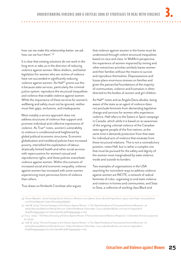$\sim$   $\sim$   $\sim$ 

how can we make this relationship better, we ask how can we hurt them".<sup>39</sup>

It is clear that existing solutions do not work in the long term or take us in the direction of reducing violence against women. More shelters, and better legislation for women who are victims of violence have not succeeded in significantly reducing violence against women. As Hall<sup>40</sup> points out this is because state services, particularly the criminal justice system, reproduce the structural inequalities and violence that enable violence against women. While the importance of these services for women's wellbeing and safety must not be ignored, neither must their gaps, exclusions, and inadequacies.

Most notably a service approach does not address structures of violence that support and promote individual and collective expressions of violence. As True<sup>41</sup> notes, women's vulnerability to violence is conditioned and heightened by global political economic structures. Economic globalisation and neoliberal policies have increased poverty, intensified the exploitation of labour, drastically limited health and other social services with repercussions for women's sexual and reproductive rights, and these policies exacerbate violence against women. Within this scenario of increased social and economic inequality, violence against women has increased with some women experiencing more pernicious forms of violence than others.

that violence against women in the home must be understood through violent structural inequalities based on race and class. In WoMin's perspective, the experience of women impacted by mining and other extractives activities similarly leaves women and their families without the means to survive and reproduce themselves. Dispossessions and losses place enormous stresses on families and given the patriarchal foundations of the majority of communities, violence and frustration is often directed to the bodies of women and girl children.

As Hall<sup>42</sup> notes and as Angela Davis alludes, being aware of the state as an agent of violence does not preclude feminists from demanding legislative change and services for women who experience violence. Hall refers to the Sisters in Spirit campaign in Canada, which while it is based on an awareness of the ongoing colonial violence of the Canadian state against people of the first nations, at the same time it demands protection from that state for individual acts of violence that emanate from these structural relations. This is not a contradictory position, notes Hall, but is rather a complex one that must be pursued for the safety and dignity of the women most marginalised by state violence, inside and outside its borders.

Two examples of organisations in the USA searching for nonviolent ways to address violence against women are INCITE, a network of radical feminists of color, organising to end state violence and violence in homes and communities; and Sista to Sista, a collective of working class Black and

#### True draws on Kimberlé Crenshaw who argues

*<sup>39</sup> Dream Defenders. (2020) Sunday School: Unlock us, Abolition in our Lifetime. Zoom talk with Angela Davis. 14 June 2020 https://www.facebook. com/DreamDefenders/videos/615123319385564/*

*<sup>40</sup> Hall, RJ. (2014) "Feminist Strategies to End Violence Against Women", in The Oxford Handbook of Transnational Feminist Movement, edited by Rawwida Baksh and Wendy Harcourt. Oxford Handbooks Online https://www.oxfordhandbooks.com/view/10.1093/oxfordhb/9780199943494.001.0001/oxfordhb-9780199943494-e-005*

*<sup>41</sup> True, J. (2014). "The Political Economy of Violence Against Women: A Feminist International Relations Perspective", in Australian Feminist Law Journal, 32, 39-59* 

*<sup>42</sup> Hall, RJ. (2014) "Feminist Strategies to End Violence Against Women", in The Oxford Handbook of Transnational Feminist Movement, edited by Rawwida Baksh and Wendy Harcourt. Oxford Handbooks Online https://www.oxfordhandbooks.com/view/10.1093/oxfordhb/9780199943494.001.0001/oxfordhb-9780199943494-e-005*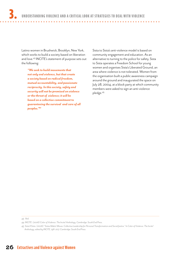Latino women in Brushwick, Brooklyn, New York, which works to build a society based on liberation and love.<sup>43</sup> INCITE's statement of purpose sets out the following:

*"We seek to build movements that not only end violence, but that create a society based on radical freedom, mutual accountability, and passionate reciprocity. In this society, safety and security will not be premised on violence or the threat of violence; it will be based on a collective commitment to guaranteeing the survival and care of all peoples."<sup>44</sup>*

Sista to Sista's anti-violence model is based on community engagement and education. As an alternative to turning to the police for safety, Sista to Sista operates a Freedom School for young women and organises Sista's Liberated Ground, an area where violence is not tolerated. Women from the organisation built a public awareness campaign around the ground and inaugurated the space on July 28, 2004, at a block party at which community members were asked to sign an anti-violence pledge.<sup>45</sup>

*43 Ibid.* 

*44 INCITE. (2006) Color of Violence: The Incite! Anthology. Cambridge: South End Press.*

*45 Sista II Sista. (2006) "Sistas Makin' Moves: Collective Leadership for Personal Transformation and Social Justice." In Color of Violence: The Incite! Anthology, edited by INCITE, 196–207. Cambridge: South End Press.*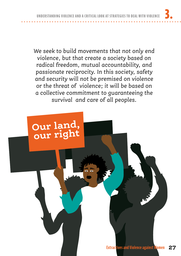*We seek to build movements that not only end violence, but that create a society based on radical freedom, mutual accountability, and passionate reciprocity. In this society, safety and security will not be premised on violence or the threat of violence; it will be based on a collective commitment to guaranteeing the survival and care of all peoples.* 

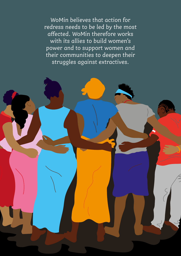*WoMin believes that action for redress needs to be led by the most affected. WoMin therefore works with its allies to build women's power and to support women and their communities to deepen their struggles against extractives.* 

**28 Extractives and Violence against Women**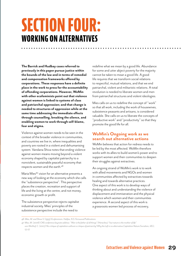## **SECTION FOUR: WORKING ON ALTERNATIVES**

**The Barrick and Hudbay cases referred to previously in this paper pursue justice within the bounds of the law and in terms of remedial and compensation frameworks offered by corporations. These responses have a definite place in the work to press for the accountability of offending corporations. However, WoMin with other ecofeminists point out that violence against women is linked to systems of class and patriarchal oppression; and that change is needed to structures of oppression while at the same time addressing the immediate effects through counselling, breaking the silence, and enabling women to work through self-blame, fear and stigma.** 

Violence against women needs to be seen in the context of the broader violence in communities, and countries we live in, where inequalities and poverty are rooted in a violent and dehumanising system. Vandana Shiva notes that ending violence against women means moving beyond a violent economy shaped by capitalist patriarchy to a nonviolent, sustainable peaceful economy that respects women and the earth.<sup>46</sup>

Maria Mies'<sup>47</sup> vision for an alternative presents a new way of looking at the economy which she calls the "subsistence perspective". This perspective places the creation, recreation and support of life and the living at the centre, and not money, economic growth or profit.

The subsistence perspective rejects capitalist industrial society. Mies' principles of the subsistence perspective include the need to

redefine what we mean by a good life. Abundance for some and utter abject poverty for the majority cannot be taken to mean a good life. A good life requires that we transform social relations to respectful, mutual relations, and that we end patriarchal, violent and militaristic relations. A total revolution is needed to liberate women and men from patriarchal structures and violent ideologies.

Mies calls on us to redefine the concept of "work" so that all work, including the work of housewives, subsistence peasants and artisans, is considered valuable. She calls on us to liberate the concepts of "productive work" and "productivity" so that they promote the good life for all.

#### **WoMin's Ongoing work as we search out alternative actions**

WoMin believes that action for redress needs to be led by the most affected. WoMin therefore works with its allies to build women's power and to support women and their communities to deepen their struggles against extractives.

An ongoing strand of WoMin's work is to work with allied movements and NGOs and women in communities affected by extractives towards healing and towards alternative practices. One aspect of this work is to develop ways of thinking about and understanding the violence of displacement and immiseration and the physical violence which women and their communities experience. A second aspect of this work is a grassroots women led process of recovery,

*46 Mies, M. and Shiva V. (1993) Ecofeminism. Halifax, N.S: Fernwood Publications*

*<sup>47</sup> Mies, M. (2006) CNS conference keynote address: "War is the father of all things" (Heraclitus) "but nature is the mother of life"* 

*von Werlhof, C. (2007) No critique of capitalism without a critique of patriarchy! Why the Left is no alternative.Capitalism Nature Socialism, 18(1), 13-27*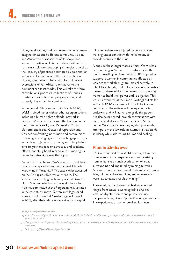dialogue, dreaming and documentation of women's imagination about a different community, society and Africa which is at service of its people and women in particular. This is combined with efforts to make visible women's coping strategies, as well as the recovery of practices decimated by colonisation and neo-colonisation, and the documentation of living alternatives. These will inform different expressions of Pan African alternatives to the dominant capitalist model. This will take the form of exhibitions, podcasts, collections of stories, a charter and will inform ongoing organising and campaigning across the continent.

In the period 10 November to 10 March 2020, WoMin joined hands with another 12 organisations, including a human rights defender network in Southern Africa, to build a month of action under the banner of [Rise Against Repression](https://riseagainstrepression.org/).<sup>48</sup> This platform publicised 16 cases of repression and violence confronting individuals and communities critiquing, challenging and encroaching upon mega extractives projects across the region. This platform aims to grow and take on advocacy and solidarity efforts, hopefully hand in hand with human rights defender networks across the region.

As part of this initiative, WoMin wrote up a detailed case on the rape of women at the Barrick North Mara mine in Tanzania.<sup>49</sup> The case can be accessed on the Rise against Repression website. The violence by security guards and police at Barrick's North Mara mine in Tanzania was similar to the violence committed at the Porgera mine illustrated in the case study above. Tanzanian villagers filed a law suit in the United Kingdom against Barrick in 2013, after their relatives were killed at the gold

mine and others were injured by police officers working under contract with the company to provide security to the mine.

Alongside these larger macro-efforts, WoMin has been working in Zimbabwe in partnership with the Counselling Services Unit (CSU)<sup>50</sup> to provide support to women in communities affected by violence to work through trauma collectively, to rebuild livelihoods, to develop ideas on what justice means for them; while simultaneously supporting women to build their power and to organise. This work is advanced (at the time of writing) but stalled in March 2020 as a result of COVID lockdown restrictions. The write up of the experience is underway and will launch alongside this paper. It is also being shared through conversations with partners and allies in Mozambique and Sierra Leone. We share some emerging thoughts on this attempt to move towards an alternative that builds solidarity while addressing trauma and healing.

#### **Pilot in Zimbabwe**

CSU with support from WoMin brought together 18 women who had experienced trauma arising from militarisation and securitisation of areas surrounding and impacted by mining activities. Among the women were small scale miners, women living within or close to mines, and women who were relocated as a result of mining.<sup>51</sup>

The violations that the women had experienced ranged from sexual, psychological to physical violations by state forces and private security companies brought in to "protect" mining operations. The experiences of women small scale miners

*<sup>48</sup> https://riseagainstrepression.org/*

*<sup>49</sup> A short film Women Speak Out About Abuse at Barrick Golds North Mara Mine in Tanzania by MiningWatch Canada can be accessed at : [https://](https://youtu.be/lizXaJShi8Y) [youtu.be/lizXaJShi8Y](https://youtu.be/lizXaJShi8Y)*

*<sup>50</sup> This systematisation of a feminist collective model of trauma support can be accessed at [https://riseagainstrepression.org/tribute-wall/north-mara-tan](https://riseagainstrepression.org/tribute-wall/north-mara-tanzania-rape/)[zania-rape/](https://riseagainstrepression.org/tribute-wall/north-mara-tanzania-rape/)*

*<sup>51</sup> Draft report by CSU and WoMin September 2020*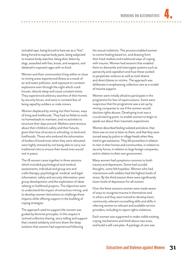included rape, being forced to have sex as a "fine", being forced to expose body parts, being subjected to invasive body searches, being shot, bitten by dogs, assaulted with fists, boots, and weapons, and detained in exposed cages with no food.

Women and their communities living within or close to mining areas experienced illness as a result of air and water pollution, and exposure to constant explosions even through the night which crack houses, disturb sleep and cause constant stress. They experienced arbitrary searches of their homes by security forces, and were in constant fear of being raped by soldiers or male miners.

Women displaced by mining lost their homes, ways of living and livelihoods. They had no fields to work, no homesteads to maintain, and no activities to structure their days around. Mothers were anxious about their children's safety and their futures, given their loss of access to schooling, to land and livelihoods. Those who endured the exhumation of bodies of loved ones when they were relocated, were highly stressed by not being able to carry out traditional rites to ensure their loved ones would rest in peace.

The 18 women came together in three sessions which included psychological and medical assessments; individual and group arts and crafts therapy; psychological, medical, and legal information; safety and security information; peer group development; and the exploration of ideas relating to livelihood projects. The objectives were to understand the impact of extractives mining, and to develop women-led actions to challenge these impacts while offering support in the building of coping strategies.

The approach used to support the women was guided by feminist principles. In this respect it centred collective sharing, story-telling and support that created solidarity and tore down the deep isolation that women had experienced following

the sexual violations. The process enabled women to centre healing based on, and drawing from their lived realities and traditional ways of coping with trauma. Women had sessions that enabled them to dismantle and interrogate systems such as patriarchy and capitalism and how these worked to perpetrate violence as well as instil shame and direct blame to victims. The approach was deliberate in emphasising collective care as a model of trauma support.

Women were initially afraid to participate in the programme for fear of repercussions. Some were suspicious that the programme was a set up by mining companies to see if the women would disclose rights abuses. Developing trust was a crucial starting point, to enable women to begin to speak out about their traumatic experiences.

Women described feeling isolated and alone, that there was no one to listen to them, and that they were turned away by police or village heads when they tried to get assistance. They felt powerless in relation to men in their homes and communities, in relation to security forces, in relation to large foreign companies, and in relation to their own government.

Many women had symptoms common to both trauma and depression. Some had suicidal thoughts, some felt hopeless. Women who had interactions with soldiers had the highest levels of stress. By the third session there were significantly lower levels of depression for all women.

Over the three sessions women were made aware of ways to recognise trauma in themselves and in others and they were trained to develop basic, community-relevant counselling skills and skills in referring women to relevant and available service providers, including to report rights violations.

Each woman was supported to make visible existing coping mechanisms and think about new ones, and build a self-care plan. A package of care was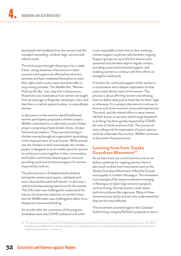developed with feedback from the women and this included counselling, medical, legal, security and referral needs.

The third session brought the project into a wider frame, raising awareness that women in other countries and regions are affected by extractive activities and have mobilised themselves to claim their rights and in some cases have been able to stop mining activities. The WoMin film "Women Hold up the Sky" was a key tool in this process. Awareness was raised about how women are taught from an early age to fill gender stereotypic roles, and that there is a whole system in place, to subordinate women.

In discussion on the need to rebuild livelihoods women participants proposed a chicken project. WoMin committed to a collectively owned chicken project comprising of 900 broiler chicks, chicken feed and vaccinations. They sourced training in chicken rearing through an organisation specialising in the empowerment of rural women. While women rear the chickens in their homesteads, the chicken project is designed so as to enable space for women to continue to come together in their communities and build a community-based support structure providing social and emotional support for women impacted by violence.

The pilot process in Zimbabwe built solidarity among the women participants, validated each one's value and boosted self-esteem. In all it was a radical and empowering experience for the women. The CSU team was challenged to understand the trauma of extractives industries on women's lives and the WoMin team was challenged to delve more deeply into trauma and healing.

Six months after the conclusion of the program, Zimbabwe went into COVID lockdown and while it was impossible to have face to face meetings, remote support via phone calls has been ongoing. Support groups set up at the first session were sustained and members kept in regular contact, providing social and emotional support, and enabling women to continue with their efforts to strengthen livelihoods.

Critical to the continued support of the women is a conversation and a deeper exploration of what justice looks like for each of the women. This process is about affirming women and allowing them to define what justice looks like for them, legal or otherwise. It is a project that aims to continue to honour and centre women's voices and experiences. This work, and the related effort to assist women tell their stories in narrative and through beadwork or knitting, has been greatly impacted by COVID for most of 2020 and into 2021. The process of story-telling and the exploration of justice options must be undertaken face to face. WoMin continues to document these processes.

#### **Learning from from Yaoska Guardians Movement<sup>52</sup>**

As we learn from our current practice and as we define a pathway for ongoing practice there is also much to draw from movements such as the Yaoska Guardians Movement of Rancho Grande municipality in northern Nicaragua. The movement is an example of the many movements emerging in Nicaragua to reject large extractive projects; such as mining, the interoceanic canal, dams, and monocultures like sugarcane. Many of these movements are led by women who understand that they are the most affected.

The movement protested against the Canadian Gold mining company B2Gold's proposal to start a

*<sup>52</sup> This subsection is based on: González, TP. (2016) Defending the body-earth territory: an alternative for social movements in resistance. World Rainforest Movement, Bulletin 226, 20 October 2016https://wrm.org.uy/articles-from-the-wrm-bulletin/defending-the-body-earth-territory-an-alternative-for-social-movements-in-resistance-1/*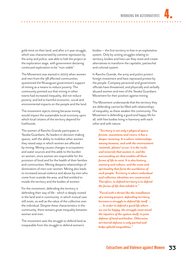#### **WORKING ON ALTERNATIVES 4.**

gold mine on their land, and after a 11 year struggle, which was characterised by extreme repression by the army and police, was able to halt the project at the exploration stage, with government declaring continued exploration to be "non-viable".

The Movement was started in 2003 when women and men from the 38 affected communities questioned the Nicaraguan government's support of mining as a means to reduce poverty. The community pointed out that mining in other towns had increased inequality, did not reduce poverty, and led to harmful economic, social and environmental impacts on the people and the land.

The movement rejects mining because mining would impact the sustainable local economy upon which local citizens of the territory depend for livelihoods.

The women of Rancho Grande participate in Yaoska Guardians. As leaders in decision-making spaces, with the ability to mobilise other women they raised ways in which women are affected by mining. Mining causes changes in ecosystems and water sources and this adds to the burden on women, since women are responsible for the provision of food and for the health of their families and communities. Mining deepens relationships of domination of men over women. Mining also leads to increased sexual violence and abuse by men who come from outside the area, and feel entitled to invade the territory and the bodies of women.

For the movement, defending the territory is defending their way of life - which is deeply rooted in the land and in community, in which mutual care still exists, as well as the value of the collective over the individual. Despite these characteristics in the community, there remains great inequality between women and men.

The movement sees the struggle to defend land as inseparable from the struggle to defend women's

bodies — the first territory to free in an exploitative system. Only by uniting struggles relating to territory, bodies and lives can they resist and create alternatives to transform the capitalist, patriarchal and colonial system.

In Rancho Grande, the army and police protect foreign investment and have repressed protest by the people. Company personnel and government officials have threatened, and physically and verbally abused women and men of the Yaoska Guardians Movement for their position against mining.

The Movement understands that the territory they are defending cannot be filled with relationships of inequality, as these weaken the community. The Movement is defending a good and happy life for all, with free bodies living in harmony with each other and with nature:

*"Territory is not only a physical space: forests, mountains and rivers; it has a deeper meaning. It is where relationships among humans, and with the environment (animals, plants) occur; it is the rocks and minerals that sustain it, and the surrounding air that enables all these forms of life to exist. It is also history, memory and culture, and the roots and spirituality that form the worldview of each people. Territory is where individual and collective identities are constructed. Therefore, to defend territory is to defend the forms of life that inhabit it."*

*"Faced with a threat like the installation of a mining project, defending territory becomes a struggle to defend life itself. … …. In order to defend a good life where we can be happy, the struggle must mend the injustice of the system itself, in joint defense of land and bodies. Otherwise, territorial defense is only partial and helps uphold inequalities."*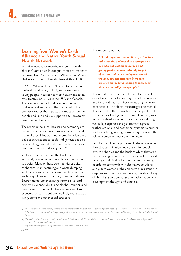#### **Learning from Women's Earth Alliance and Native Youth Sexual Health Network**

In similar ways as we may draw lessons from the Yaoska Guardians in Nicaragua, there are lessons to be drawn from Women's Earth Alliance (WEA) and Native Youth Sexual Health Network (NYSHN).<sup>53</sup>

**I**n 2014, WEA and NYSHN began to document the health and safety of Indigenous women and young people in territories most heavily impacted by extractive industries in the USA and Canada. The Violence on the Land, Violence on our Bodies report and toolkit that came out of this process exposes the impacts of extractives on the people and land and is a support to action against environmental violence.

The report reveals that healing and ceremony are crucial responses to environmental violence; and that while local, federal, and international laws and policies serve as critical tools, Indigenous peoples are also designing culturally-safe and communitybased solutions to reducing harm.<sup>54</sup>

Violence that happens on the land is seen as intimately connected to the violence that happens to bodies. Many of these communities are sites of chemical manufacturing and waste dumping, while others are sites of encampments of men who are brought in to work for the gas and oil industry. Environmental violence ranges from sexual and domestic violence, drugs and alcohol, murders and disappearances, reproductive illnesses and toxic exposure, threats to culture and Indigenous ways of living, crime and other social stressors.

The report notes that:

*"This dangerous intersection of extractive industry, the violence that accompanies it, and a population of women and young people who are already targets of systemic violence and generational trauma, sets the stage for increased violence on the land leading to increased violence on Indigenous people."* 

The report notes that the risks faced as a result of extractives is part of a larger system of colonisation and historical trauma. These include higher levels of cancers, birth defects, miscarriages and mental illnesses. All of these have had deep impacts on the social fabric of Indigenous communities living near industrial developments. The extractive industry, fueled by corporate and governmental greed, furthers colonial and patriarchal systems by eroding traditional Indigenous governance systems and the role of women in these communities.<sup>55</sup>

Solutions to violence proposed in the report assert the self-determination and consent for people over their bodies and the lands of which they are a part; challenge mainstream responses of increased policing or criminalisation; centre deep listening in order to come with with alternative solutions; and places women at the epicentre of resistance to dispossessions of their land, water, forests and way of life. The report proposes alternatives to current development thought and practice.

*http://landbodydefense.org/uploads/files/VLVBReportToolkit2016.pdf*

*55 ibid*

*<sup>53</sup> WEA invests in training and supporting grassroots women to drive solutions to our most pressing ecological concerns — water, food, land, and climate. NYSHN is a network by and for Indigenous youth that works across issues of sexual and reproductive health, rights, and justice in the United States and Canada.*

*<sup>54</sup> Women's Earth Alliance and Native Youth Sexual Health Network. (2016) Violence on the land, violence on our bodies: Building an Indigenous Response to Environmental Violence*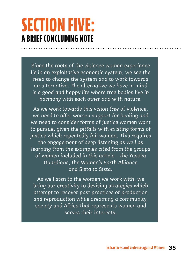## **SECTION FIVE: A BRIEF CONCLUDING NOTE**

*Since the roots of the violence women experience lie in an exploitative economic system, we see the need to change the system and to work towards an alternative. The alternative we have in mind is a good and happy life where free bodies live in harmony with each other and with nature.* 

*As we work towards this vision free of violence, we need to offer women support for healing and we need to consider forms of justice women want to pursue, given the pitfalls with existing forms of justice which repeatedly fail women. This requires the engagement of deep listening as well as learning from the examples cited from the groups of women included in this article – the Yasoka Guardians, the Women's Earth Alliance and Sista to Sista.*

*As we listen to the women we work with, we bring our creativity to devising strategies which attempt to recover past practices of production and reproduction while dreaming a community, society and Africa that represents women and serves their interests.*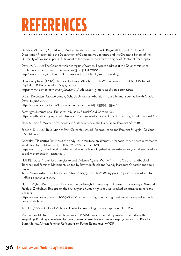

Da Silva, MI. (2013) Narratives of Desire: Gender and Sexuality in Bugul, Aidoo and Chiziane. A Dissertation Presented to the Department of Comparative Literature and the Graduate School of the University of Oregon in partial fulfillment of the requirements for the degree of Doctor of Philosophy

Davis, A. (2000) The Color of Violence Against Women, keynote address at the Color of Violence Conferencein Santa Cruz. Colorlines, Vol.3 no.3, Fall 2000 [http://www.arc.org/C\\_Lines/CLArchive/story3\\_3\\_02.html \(link not working\)](http://www.arc.org/C_Lines/CLArchive/story3_3_02.html (link not working)  ) 

Democracy Now. (2020) The Case for Prison Abolition: Ruth Wilson Gilmore on COVID-19, Racial Capitalism & Decarceration. May 5, 2020 [https://www.democracynow.org/2020/5/5/ruth\\_wilson\\_gilmore\\_abolition\\_coronavirus](https://www.democracynow.org/2020/5/5/ruth_wilson_gilmore_abolition_coronavirus)

Dream Defenders. (2020) Sunday School: Unlock us, Abolition in our Lifetime. Zoom talk with Angela Davis. 14 June 2020 <https://www.facebook.com/DreamDefenders/videos/615123319385564/>

Earthrights International. Factsheet: Abuse by Barrick Gold Corporation [https://earthrights.org/wp-content/uploads/documents/barrick\\_fact\\_sheet\\_-\\_earthrights\\_international\\_1.pdf](https://earthrights.org/wp-content/uploads/documents/barrick_fact_sheet_-_earthrights_international_)

Ekine S. (2008) Women's Responses to State Violence in the Niger Delta. Feminist Africa 10

Federici, S (2020) Revolution at Point Zero: Housework, Reproduction and Feminist Struggle. Oakland, CA. PM Press

González, TP. (2016) Defending the body-earth territory: an alternative for social movements in resistance. World Rainforest Movement, Bulletin 226, 20 October 2016

[https://wrm.org.uy/articles-from-the-wrm-bulletin/defending-the-body-earth-territory-an-alternative-for](https://wrm.org.uy/articles-from-the-wrm-bulletin/defending-the-body-earth-territory-an-alternative-for-social-movements-in-resistance-1/)[social-movements-in-resistance-1/](https://wrm.org.uy/articles-from-the-wrm-bulletin/defending-the-body-earth-territory-an-alternative-for-social-movements-in-resistance-1/)

Hall, RJ. (2014) "Feminist Strategies to End Violence Against Women", in The Oxford Handbook of Transnational Feminist Movement, edited by Rawwida Baksh and Wendy Harcourt. Oxford Handbooks Online

 [https://www.oxfordhandbooks.com/view/10.1093/oxfordhb/9780199943494.001.0001/oxfordhb-](https://www.oxfordhandbooks.com/view/10.1093/oxfordhb/9780199943494.001.0001/oxfordhb-9780199943494-e-005)[9780199943494-e-005](https://www.oxfordhandbooks.com/view/10.1093/oxfordhb/9780199943494.001.0001/oxfordhb-9780199943494-e-005)

Human Rights Watch. (2009) Diamonds in the Rough: Human Rights Abuses in the Marange Diamond Fields of Zimbabwe, Reports on the brutality and human rights abuses wreaked on artisanal miners and villagers

[https://www.hrw.org/report/2009/06/26/diamonds-rough/human-rights-abuses-marange-diamond](https://www.hrw.org/report/2009/06/26/diamonds-rough/human-rights-abuses-marange-diamond-fields-zimbabwe)[fields-zimbabwe](https://www.hrw.org/report/2009/06/26/diamonds-rough/human-rights-abuses-marange-diamond-fields-zimbabwe)

INCITE. (2006). Color of Violence: The Incite! Anthology. Cambridge: South End Press.

Mapondera, M., Reddy, T. and Hargreaves S. (2019) If another world is possible, who is doing the imagining? Building an ecofeminist development alternative in a time of deep systemic crisis. Bread and Butter Series, African Feminist Reflections on Future Economies. AWDF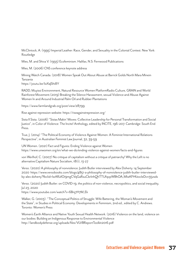McClintock, A. (1995) Imperial Leather: Race, Gender, and Sexuality in the Colonial Contest. New York: Routledge

Mies, M. and Shiva V. (1993) Ecofeminism. Halifax, N.S: Fernwood Publications

Mies, M. (2006) CNS conference keynote address

Mining Watch Canada. (2018) Women Speak Out About Abuse at Barrick Golds North Mara Minein Tanzania <https://youtu.be/lizXaJShi8Y>

RADD, Muyissi Environnment, Natural Resource Women PlatformRadio Culture, GRAIN and World Rainforest Movement.(2019) Breaking the Silence Harassment, sexual Violence and Abuse Against Women In and Around Industrial Palm Oil and Rubber Plantations

<https://www.farmlandgrab.org/post/view/28799>

Rise against repression website:<https://riseagainstrepression.org/>

Sista II Sista. (2006) "Sistas Makin' Moves: Collective Leadership for Personal Transformation and Social Justice", in Color of Violence: The Incite! Anthology, edited by INCITE, 196–207. Cambridge: South End Press.

True, J. (2014) "The Political Economy of Violence Against Women: A Feminist International Relations Perspective", in Australian Feminist Law Journal, 32, 39-59

UN Women. (2021) Fact and Figures: Ending Violence against Women [https://www.unwomen.org/en/what-we-do/ending-violence-against-women/facts-and-figures](https://www.unwomen.org/en/what-we-do/ending-violence-against-women/facts-and-figures )

von Werlhof, C. (2007) No critique of capitalism without a critique of patriarchy! Why the Left is no alternative.Capitalism Nature Socialism, 18(1), 13-27

Verso. (2020) A philosophy of nonviolence: Judith Butler interviewed by Alex Doherty. 14 September 2020 [https://www.versobooks.com/blogs/4851-a-philosophy-of-nonviolence-judith-butler-interviewed](https://www.versobooks.com/blogs/4851-a-philosophy-of-nonviolence-judith-butler-interviewed-by-alex )[by-alex doherty?fbclid=IwAR2IOi9mgCVqGaRsuCbrlnhQhTTUfqvpWBhOA\\_MlwKFHf2ocIeDcn35zsds](https://www.versobooks.com/blogs/4851-a-philosophy-of-nonviolence-judith-butler-interviewed-by-alex )

Verso. (2020) Judith Butler: on COVID-19, the politics of non-violence, necropolitics, and social inequality, Jul 23, 2020

[https://www.youtube.com/watch?v=6Bnj7H7M\\_Ek](https://www.youtube.com/watch?v=6Bnj7H7M_Ek)

Walker, G. (2003). "The Conceptual Politics of Struggle: Wife Battering, the Woman's Movement and the State", in Studies in Political Economy: Developments in Feminism, 2nd ed., edited by C. Andrews. Toronto: Women's Press

Women's Earth Alliance and Native Youth Sexual Health Network. (2016) Violence on the land, violence on our bodies: Building an Indigenous Response to Environmental Violence [http://landbodydefense.org/uploads/files/VLVBReportToolkit2016.pdf](http://landbodydefense.org/uploads/files/VLVBReportToolkit2016.pdf )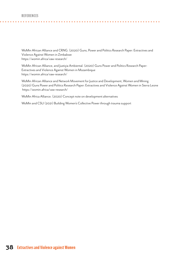WoMin African Alliance and CRNG. (2020) Guns, Power and Politics Research Paper: Extractives and Violence Against Women in Zimbabwe <https://womin.africa/vaw-research/>

WoMin African Alliance, and Justiçia Ambiental. (2020) Guns Power and Politics Research Paper: Extractives and Violence Against Women in Mozambique <https://womin.africa/vaw-research/>

WoMin African Alliance and Network Movement for Justice and Development, Women and Mining. (2020) Guns Power and Politics Research Paper: Extractives and Violence Against Women in Sierra Leone  [https://womin.africa/vaw-research/]( https://womin.africa/vaw-research/)

WoMin Africa Alliance. (2020) Concept note on development alternatives

WoMin and CSU (2021) Building Women's Collective Power through trauma support